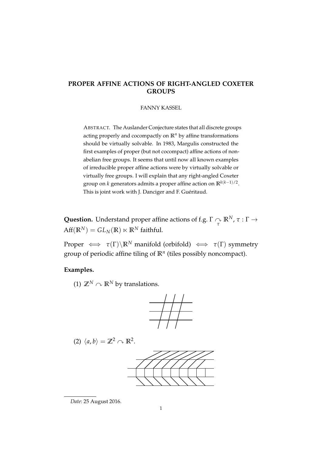## **PROPER AFFINE ACTIONS OF RIGHT-ANGLED COXETER GROUPS**

#### FANNY KASSEL

ABSTRACT. The Auslander Conjecture states that all discrete groups acting properly and cocompactly on **R***<sup>n</sup>* by affine transformations should be virtually solvable. In 1983, Margulis constructed the first examples of proper (but not cocompact) affine actions of nonabelian free groups. It seems that until now all known examples of irreducible proper affine actions were by virtually solvable or virtually free groups. I will explain that any right-angled Coxeter group on *k* generators admits a proper affine action on **R***k*(*k*−1)/2 . This is joint work with J. Danciger and F. Guéritaud.

**Question.** Understand proper affine actions of f.g.  $\Gamma \underset{\tau}{\curvearrowright} \mathbb{R}^N$ ,  $\tau : \Gamma \rightarrow$  $Aff(\mathbb{R}^N) = GL_N(\mathbb{R}) \ltimes \mathbb{R}^N$  faithful.

Proper  $\iff$   $\tau(\Gamma) \backslash \mathbb{R}^N$  manifold (orbifold)  $\iff$   $\tau(\Gamma)$  symmetry group of periodic affine tiling of **R***<sup>n</sup>* (tiles possibly noncompact).

#### **Examples.**

(1)  $\mathbb{Z}^N \cap \mathbb{R}^N$  by translations.



(2) 
$$
\langle a, b \rangle = \mathbb{Z}^2 \cap \mathbb{R}^2
$$
.



*Date*: 25 August 2016.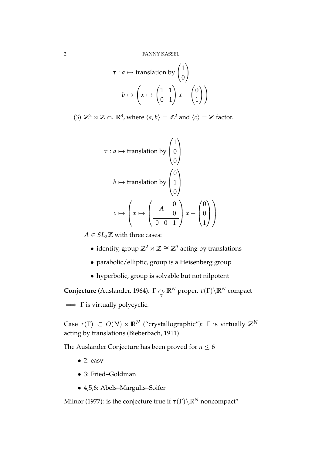$$
\tau: a \mapsto \text{translation by } \begin{pmatrix} 1 \\ 0 \end{pmatrix}
$$

$$
b \mapsto \left( x \mapsto \begin{pmatrix} 1 & 1 \\ 0 & 1 \end{pmatrix} x + \begin{pmatrix} 0 \\ 1 \end{pmatrix} \right)
$$

(3)  $\mathbb{Z}^2 \rtimes \mathbb{Z} \curvearrowright \mathbb{R}^3$ , where  $\langle a, b \rangle = \mathbb{Z}^2$  and  $\langle c \rangle = \mathbb{Z}$  factor.

$$
\tau: a \mapsto \text{translation by } \begin{pmatrix} 1 \\ 0 \\ 0 \end{pmatrix}
$$

$$
b \mapsto \text{translation by } \begin{pmatrix} 0 \\ 1 \\ 0 \end{pmatrix}
$$

$$
c \mapsto \left( x \mapsto \begin{pmatrix} A & 0 \\ 0 & 0 & 1 \end{pmatrix} x + \begin{pmatrix} 0 \\ 0 \\ 1 \end{pmatrix} \right)
$$

 $A \in SL_2 \mathbb{Z}$  with three cases:

- identity, group **Z**<sup>2</sup> o **Z** ∼= **Z**<sup>3</sup> acting by translations
- parabolic/elliptic, group is a Heisenberg group
- hyperbolic, group is solvable but not nilpotent

**Conjecture** (Auslander, 1964).  $\Gamma \curvearrowright \mathbb{R}^N$  proper,  $\tau(\Gamma) \backslash \mathbb{R}^N$  compact  $\implies$  Γ is virtually polycyclic.

Case  $\tau(\Gamma) \subset O(N) \ltimes \mathbb{R}^N$  ("crystallographic"):  $\Gamma$  is virtually  $\mathbb{Z}^N$ acting by translations (Bieberbach, 1911)

The Auslander Conjecture has been proved for  $n \leq 6$ 

- 2: easy
- 3: Fried–Goldman
- 4,5,6: Abels–Margulis–Soifer

Milnor (1977): is the conjecture true if  $\tau(\Gamma) \backslash \mathbb{R}^N$  noncompact?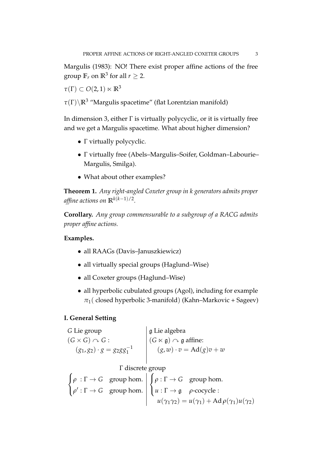Margulis (1983): NO! There exist proper affine actions of the free group  $\mathbb{F}_r$  on  $\mathbb{R}^3$  for all  $r \geq 2$ .

 $\tau(\Gamma) \subset O(2,1) \ltimes \mathbb{R}^3$ 

*τ*(Γ)\**R**<sup>3</sup> "Margulis spacetime" (flat Lorentzian manifold)

In dimension 3, either Γ is virtually polycyclic, or it is virtually free and we get a Margulis spacetime. What about higher dimension?

- Γ virtually polycyclic.
- Γ virtually free (Abels–Margulis–Soifer, Goldman–Labourie– Margulis, Smilga).
- What about other examples?

**Theorem 1.** *Any right-angled Coxeter group in k generators admits proper affine actions on* **R***k*(*k*−1)/2 *.*

**Corollary.** *Any group commensurable to a subgroup of a RACG admits proper affine actions.*

### **Examples.**

- all RAAGs (Davis–Januszkiewicz)
- all virtually special groups (Haglund–Wise)
- all Coxeter groups (Haglund–Wise)
- all hyperbolic cubulated groups (Agol), including for example  $\pi_1$ ( closed hyperbolic 3-manifold) (Kahn–Markovic + Sageev)

### **I. General Setting**

*G* Lie group  $\left| \right.$  g Lie algebra  $(G \times G) \cap G$  :  $|(G \ltimes \mathfrak{g}) \cap \mathfrak{g}$  affine:  $(g_1, g_2) \cdot g = g_2 g g_1^{-1}$   $(g, w) \cdot v = \text{Ad}(g)v + w$ 

Γ discrete group

$$
\begin{cases}\n\rho : \Gamma \to G & \text{group hom.} \\
\rho' : \Gamma \to G & \text{group hom.} \\
u : \Gamma \to \mathfrak{g} & \rho\text{-cocycle:} \\
u(\gamma_1 \gamma_2) = u(\gamma_1) + \text{Ad}\,\rho(\gamma_1)u(\gamma_2)\n\end{cases}
$$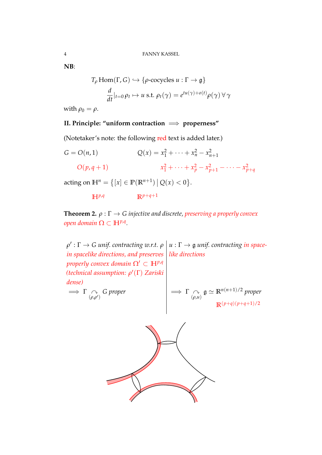**NB**:

$$
T_{\rho} \text{Hom}(\Gamma, G) \hookrightarrow \{ \rho\text{-cocycles } u : \Gamma \to \mathfrak{g} \}
$$

$$
\frac{d}{dt}|_{t=0} \rho_t \mapsto u \text{ s.t. } \rho_t(\gamma) = e^{tu(\gamma) + o(t)} \rho(\gamma) \,\forall \,\gamma
$$

with  $\rho_0 = \rho$ .

# **II. Principle: "uniform contraction** =⇒ **properness"**

(Notetaker's note: the following red text is added later.)

$$
G = O(n, 1)
$$
  
\n
$$
Q(x) = x_1^2 + \dots + x_n^2 - x_{n+1}^2
$$
  
\n
$$
O(p, q + 1)
$$
  
\n
$$
x_1^2 + \dots + x_p^2 - x_{p+1}^2 - \dots - x_{p+q}^2
$$

acting on  $\mathbb{H}^{n} = \{ [x] \in \mathbb{P}(\mathbb{R}^{n+1}) \, | \, Q(x) < 0 \}.$ 

$$
\mathbb{H}^{p,q} \qquad \mathbb{R}^{p+q+1}
$$

**Theorem 2.**  $\rho : \Gamma \to G$  *injective and discrete, preserving a properly convex*  $open$  domain  $\Omega \subset \mathbb{H}^{p,q}$ .

 $\rho':\Gamma\to G$  *unif. contracting w.r.t.*  $\rho\bigm|u:\Gamma\to \mathfrak{g}$  *unif. contracting in spacein spacelike directions, and preserves like directions properly convex domain*  $\Omega' \subset \mathbb{H}^{p,q}$ *(technical assumption: ρ* 0 (Γ) *Zariski dense)*  $\Rightarrow$  Γ  $\curvearrowright$  $\bigcap_{(\rho,\rho')} G$  proper  $\qquad \qquad \Longrightarrow \Gamma \underset{(\rho,\mu)}{\sim}$ (*ρ*,*u*)  $\mathfrak{g} \simeq \mathbb{R}^{n(n+1)/2}$  proper **R**(*p*+*q*)(*p*+*q*+1)/2

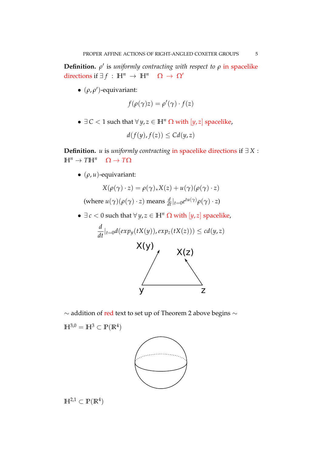**Definition.**  $\rho'$  is *uniformly contracting with respect to*  $\rho$  in spacelike directions if  $\exists f : \mathbb{H}^n \to \mathbb{H}^n \quad \Omega \to \Omega'$ 

 $\bullet$  ( $\rho$ ,  $\rho'$ )-equivariant:

$$
f(\rho(\gamma)z) = \rho'(\gamma) \cdot f(z)
$$

•  $\exists C < 1$  such that  $\forall y, z \in \mathbb{H}^n \Omega$  with  $[y, z]$  spacelike,

$$
d(f(y), f(z)) \leq C d(y, z)
$$

**Definition.** *u* is *uniformly contracting* in spacelike directions if ∃ *X* :  $\mathbb{H}^n \to T\mathbb{H}^n$   $\Omega \to T\Omega$ 

• (*ρ*, *u*)-equivariant:

$$
X(\rho(\gamma) \cdot z) = \rho(\gamma)_* X(z) + u(\gamma)(\rho(\gamma) \cdot z)
$$

- $(\text{where } u(\gamma)(\rho(\gamma) \cdot z) \text{ means } \frac{d}{dt}|_{t=0} e^{tu(\gamma)} \rho(\gamma) \cdot z)$
- $\exists c < 0$  such that  $\forall y, z \in \mathbb{H}^n \Omega$  with  $[y, z]$  spacelike,

$$
\frac{d}{dt}|_{t=0}d(exp_y(tX(y)), exp_z(tX(z))) \leq cd(y, z)
$$
\n
$$
\times (y)
$$
\n
$$
\times (z)
$$
\n
$$
y
$$

 $\sim$  addition of red text to set up of Theorem 2 above begins  $\sim$ 

 $\mathbb{H}^{3,0} = \mathbb{H}^3 \subset \mathbb{P}(\mathbb{R}^4)$ 



 $\mathbb{H}^{2,1} \subset \mathbb{P}(\mathbb{R}^4)$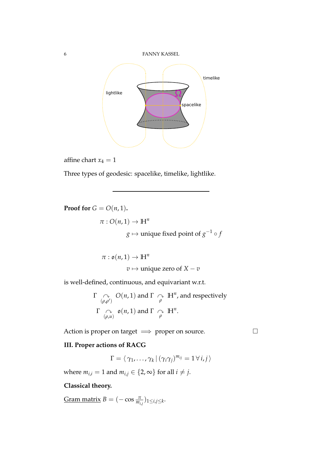

affine chart  $x_4 = 1$ 

Three types of geodesic: spacelike, timelike, lightlike.

**Proof for**  $G = O(n, 1)$ **.**  $\pi$  :  $O(n, 1) \rightarrow \mathbb{H}^n$  $g\mapsto$  unique fixed point of  $g^{-1}\circ f$ 

$$
\pi : \mathfrak{o}(n, 1) \to \mathbb{H}^n
$$
  

$$
v \mapsto \text{unique zero of } X - v
$$

is well-defined, continuous, and equivariant w.r.t.

$$
\Gamma \underset{(\rho,\rho')} {\curvearrowright} O(n,1) \text{ and } \Gamma \underset{\rho}{\curvearrowright} \mathbb{H}^n, \text{ and respectively}
$$
\n
$$
\Gamma \underset{(\rho,\mu)}{\curvearrowright} o(n,1) \text{ and } \Gamma \underset{\rho}{\curvearrowright} \mathbb{H}^n.
$$

Action is proper on target  $\implies$  proper on source.

## **III. Proper actions of RACG**

$$
\Gamma = \langle \gamma_1, \ldots, \gamma_k | (\gamma_i \gamma_j)^{m_{ij}} = 1 \, \forall \, i, j \, \rangle
$$

where  $m_{i,i} = 1$  and  $m_{i,j} \in \{2, \infty\}$  for all  $i \neq j$ .

#### **Classical theory.**

 $\text{Gram matrix } B = (-\cos \frac{\pi}{m_{i,j}})_{1 \leq i,j \leq k}.$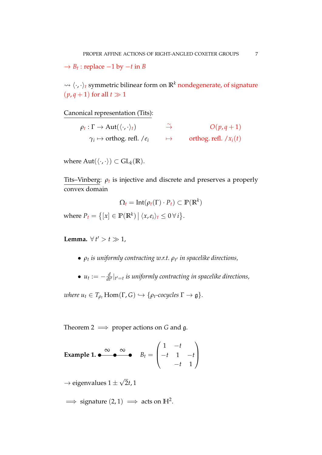$\rightarrow B_t$ : replace  $-1$  by  $-t$  in *B* 

 $\rightsquigarrow \langle \cdot, \cdot \rangle_t$  symmetric bilinear form on  $\mathbb{R}^k$  nondegenerate, of signature  $(p, q + 1)$  for all  $t \gg 1$ 

Canonical representation (Tits):

| $\rho_t : \Gamma \to \text{Aut}(\langle \cdot, \cdot \rangle_t)$ | $\rightarrow$ | $O(p,q+1)$              |
|------------------------------------------------------------------|---------------|-------------------------|
| $\gamma_i \mapsto$ orthog. refl. / $e_i$                         |               | orthog. refl. $/x_i(t)$ |

where  $Aut(\langle \cdot, \cdot \rangle) \subset GL_k(\mathbb{R})$ .

Tits–Vinberg:  $\rho_t$  is injective and discrete and preserves a properly convex domain

$$
\Omega_t = \mathrm{Int}(\rho_t(\Gamma) \cdot P_t) \subset \mathbb{P}(\mathbb{R}^k)
$$

where  $P_t = \{ [x] \in \mathbb{P}(\mathbb{R}^k) \mid \langle x, e_i \rangle_t \leq 0 \,\forall i \}.$ 

**Lemma.**  $\forall t' > t \gg 1$ ,

- *ρ<sup>t</sup> is uniformly contracting w.r.t. ρ<sup>t</sup>* <sup>0</sup> *in spacelike directions,*
- $u_t := -\frac{d}{dt'}|_{t'=t}$  is uniformly contracting in spacelike directions,

*where*  $u_t \in T_{\rho_t}$  Hom( $\Gamma$ ,  $G$ )  $\hookrightarrow$  { $\rho_t$ -cocycles  $\Gamma \to \mathfrak{g}$  }.

Theorem 2  $\implies$  proper actions on *G* and *g*.

**Example 1. e** 
$$
B_t = \begin{pmatrix} 1 & -t \\ -t & 1 & -t \\ -t & 1 & 1 \end{pmatrix}
$$

 $\rightarrow$  eigenvalues 1  $\pm$ √ 2*t*, 1

 $\implies$  signature  $(2,1) \implies$  acts on  $\mathbb{H}^2$ .